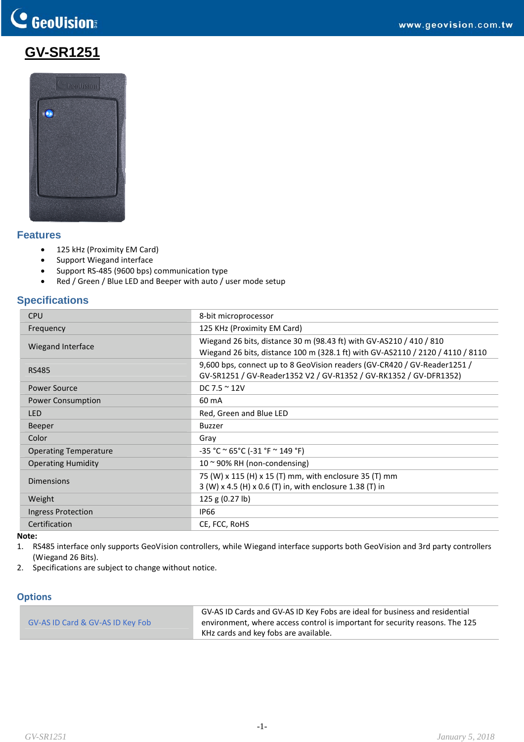# C GeoVision

# **GV-SR1251**



### **Features**

- 125 kHz (Proximity EM Card)
- Support Wiegand interface
- Support RS‐485 (9600 bps) communication type
- Red / Green / Blue LED and Beeper with auto / user mode setup

# **Specifications**

| <b>CPU</b>                   | 8-bit microprocessor                                                                                                                                  |
|------------------------------|-------------------------------------------------------------------------------------------------------------------------------------------------------|
| Frequency                    | 125 KHz (Proximity EM Card)                                                                                                                           |
| Wiegand Interface            | Wiegand 26 bits, distance 30 m (98.43 ft) with GV-AS210 / 410 / 810<br>Wiegand 26 bits, distance 100 m (328.1 ft) with GV-AS2110 / 2120 / 4110 / 8110 |
| <b>RS485</b>                 | 9,600 bps, connect up to 8 GeoVision readers (GV-CR420 / GV-Reader1251 /<br>GV-SR1251 / GV-Reader1352 V2 / GV-R1352 / GV-RK1352 / GV-DFR1352)         |
| <b>Power Source</b>          | DC 7.5 $\approx$ 12V                                                                                                                                  |
| <b>Power Consumption</b>     | 60 mA                                                                                                                                                 |
| <b>LED</b>                   | Red, Green and Blue LED                                                                                                                               |
| <b>Beeper</b>                | Buzzer                                                                                                                                                |
| Color                        | Gray                                                                                                                                                  |
| <b>Operating Temperature</b> | $-35 °C ° 65 °C (-31 °F ° 149 °F)$                                                                                                                    |
| <b>Operating Humidity</b>    | $10 \approx 90\%$ RH (non-condensing)                                                                                                                 |
| <b>Dimensions</b>            | 75 (W) x 115 (H) x 15 (T) mm, with enclosure 35 (T) mm<br>3 (W) x 4.5 (H) x 0.6 (T) in, with enclosure 1.38 (T) in                                    |
| Weight                       | 125 g (0.27 lb)                                                                                                                                       |
| Ingress Protection           | <b>IP66</b>                                                                                                                                           |
| Certification                | CE, FCC, RoHS                                                                                                                                         |

#### **Note:**

- 1. RS485 interface only supports GeoVision controllers, while Wiegand interface supports both GeoVision and 3rd party controllers (Wiegand 26 Bits).
- 2. Specifications are subject to change without notice.

#### **Options**

|                                  | GV-AS ID Cards and GV-AS ID Key Fobs are ideal for business and residential  |
|----------------------------------|------------------------------------------------------------------------------|
| GV-AS ID Card & GV-AS ID Key Fob | environment, where access control is important for security reasons. The 125 |
|                                  | KHz cards and key fobs are available.                                        |